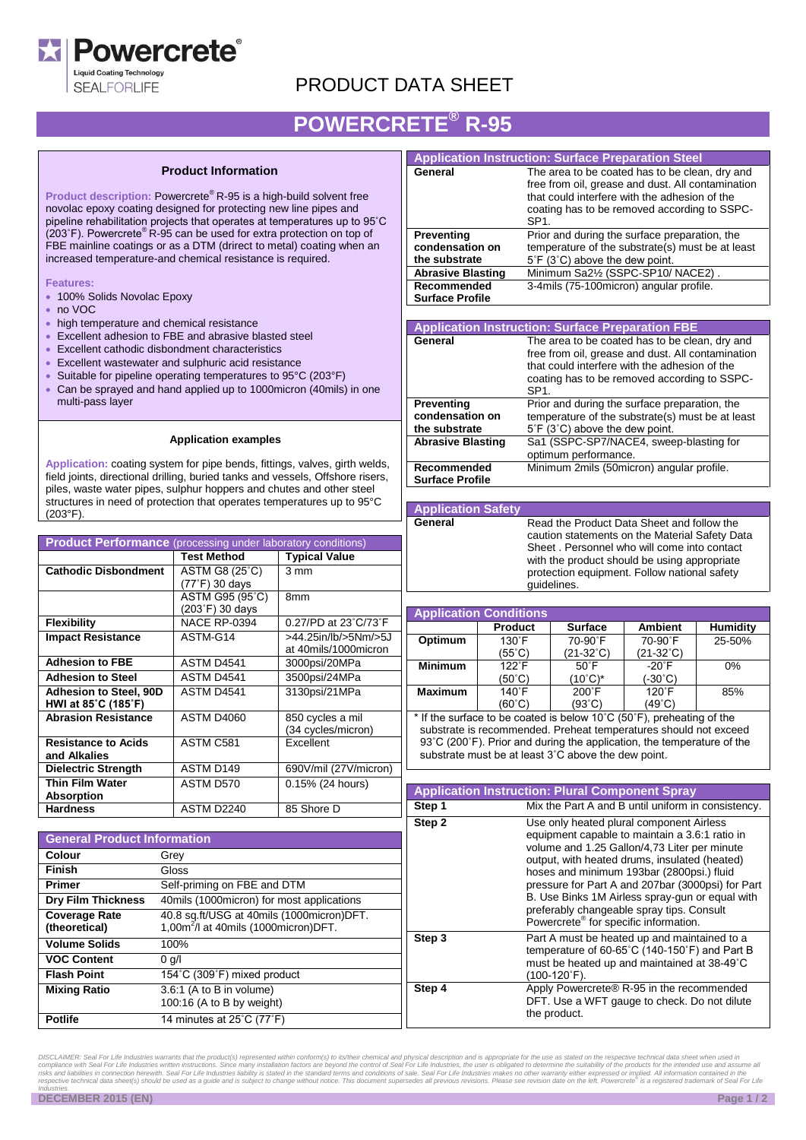

**SEALFORLIFE** 

### PRODUCT DATA SHEET

# **POWERCRETE® R-95**

#### **Product Information**

**Product description:** Powercrete® R-95 is a high-build solvent free novolac epoxy coating designed for protecting new line pipes and pipeline rehabilitation projects that operates at temperatures up to 95˚C<br>(203˚F). Powercrete® R-95 can be used for extra protection on top of FBE mainline coatings or as a DTM (drirect to metal) coating when an increased temperature-and chemical resistance is required.

**Features:**

- 100% Solids Novolac Epoxy
- $\cdot$  no VOC
- high temperature and chemical resistance
- Excellent adhesion to FBE and abrasive blasted steel
- Excellent cathodic disbondment characteristics
- Excellent wastewater and sulphuric acid resistance
- Suitable for pipeline operating temperatures to 95°C (203°F)
- Can be sprayed and hand applied up to 1000micron (40mils) in one multi-pass layer

#### **Application examples**

**Application:** coating system for pipe bends, fittings, valves, girth welds, field joints, directional drilling, buried tanks and vessels, Offshore risers, piles, waste water pipes, sulphur hoppers and chutes and other steel structures in need of protection that operates temperatures up to 95°C (203°F).

| <b>Product Performance</b> (processing under laboratory conditions) |                     |                       |  |
|---------------------------------------------------------------------|---------------------|-----------------------|--|
|                                                                     | <b>Test Method</b>  | <b>Typical Value</b>  |  |
| <b>Cathodic Disbondment</b>                                         | ASTM G8 (25°C)      | $3 \text{ mm}$        |  |
|                                                                     | (77°F) 30 days      |                       |  |
|                                                                     | ASTM G95 (95°C)     | 8 <sub>mm</sub>       |  |
|                                                                     | (203°F) 30 days     |                       |  |
| <b>Flexibility</b>                                                  | <b>NACE RP-0394</b> | 0.27/PD at 23°C/73°F  |  |
| <b>Impact Resistance</b>                                            | ASTM-G14            | >44.25in/lb/>5Nm/>5J  |  |
|                                                                     |                     | at 40mils/1000micron  |  |
| <b>Adhesion to FBE</b>                                              | ASTM D4541          | 3000psi/20MPa         |  |
| <b>Adhesion to Steel</b>                                            | ASTM D4541          | 3500psi/24MPa         |  |
| <b>Adhesion to Steel, 90D</b>                                       | ASTM D4541          | 3130psi/21MPa         |  |
| HWI at 85°C (185°F)                                                 |                     |                       |  |
| <b>Abrasion Resistance</b>                                          | <b>ASTM D4060</b>   | 850 cycles a mil      |  |
|                                                                     |                     | (34 cycles/micron)    |  |
| <b>Resistance to Acids</b>                                          | ASTM C581           | Excellent             |  |
| and Alkalies                                                        |                     |                       |  |
| Dielectric Strength                                                 | ASTM D149           | 690V/mil (27V/micron) |  |
| <b>Thin Film Water</b>                                              | ASTM D570           | 0.15% (24 hours)      |  |
| <b>Absorption</b>                                                   |                     |                       |  |
| <b>Hardness</b>                                                     | ASTM D2240          | 85 Shore D            |  |

| <b>General Product Information</b>    |                                                                                               |  |
|---------------------------------------|-----------------------------------------------------------------------------------------------|--|
| <b>Colour</b>                         | Grey                                                                                          |  |
| <b>Finish</b>                         | Gloss                                                                                         |  |
| <b>Primer</b>                         | Self-priming on FBE and DTM                                                                   |  |
| <b>Dry Film Thickness</b>             | 40mils (1000micron) for most applications                                                     |  |
| <b>Coverage Rate</b><br>(theoretical) | 40.8 sq.ft/USG at 40mils (1000micron)DFT.<br>1,00m <sup>2</sup> /l at 40mils (1000micron)DFT. |  |
| <b>Volume Solids</b>                  | 100%                                                                                          |  |
| <b>VOC Content</b>                    | $0$ g/l                                                                                       |  |
| <b>Flash Point</b>                    | 154°C (309°F) mixed product                                                                   |  |
| <b>Mixing Ratio</b>                   | 3.6:1 (A to B in volume)<br>100:16 (A to B by weight)                                         |  |
| <b>Potlife</b>                        | 14 minutes at 25°C (77°F)                                                                     |  |

|                          | <b>Application Instruction: Surface Preparation Steel</b> |  |
|--------------------------|-----------------------------------------------------------|--|
| General                  | The area to be coated has to be clean, dry and            |  |
|                          | free from oil, grease and dust. All contamination         |  |
|                          | that could interfere with the adhesion of the             |  |
|                          | coating has to be removed according to SSPC-              |  |
|                          | SP1.                                                      |  |
| Preventing               | Prior and during the surface preparation, the             |  |
| condensation on          | temperature of the substrate(s) must be at least          |  |
| the substrate            | 5°F (3°C) above the dew point.                            |  |
| <b>Abrasive Blasting</b> | Minimum Sa21/2 (SSPC-SP10/ NACE2).                        |  |
| Recommended              | 3-4mils (75-100micron) angular profile.                   |  |
| <b>Surface Profile</b>   |                                                           |  |
|                          |                                                           |  |
|                          |                                                           |  |
|                          | <b>Application Instruction: Surface Preparation FBE</b>   |  |
| General                  | The area to be coated has to be clean, dry and            |  |
|                          | free from oil, grease and dust. All contamination         |  |
|                          | that could interfere with the adhesion of the             |  |
|                          | coating has to be removed according to SSPC-              |  |
|                          | SP <sub>1</sub>                                           |  |
| Preventing               | Prior and during the surface preparation, the             |  |
| condensation on          | temperature of the substrate(s) must be at least          |  |
| the substrate            | $5^{\circ}$ F (3 $^{\circ}$ C) above the dew point.       |  |
| <b>Abrasive Blasting</b> | Sa1 (SSPC-SP7/NACE4, sweep-blasting for                   |  |
|                          | optimum performance.                                      |  |
| Recommended              | Minimum 2mils (50micron) angular profile.                 |  |

#### **Application Safety**

**General** Read the Product Data Sheet and follow the caution statements on the Material Safety Data Sheet . Personnel who will come into contact with the product should be using appropriate protection equipment. Follow national safety guidelines.

| <b>Application Conditions</b> |                |                 |                    |                 |
|-------------------------------|----------------|-----------------|--------------------|-----------------|
|                               | <b>Product</b> | <b>Surface</b>  | <b>Ambient</b>     | <b>Humidity</b> |
| Optimum                       | $130^\circ F$  | 70-90°F         | 70-90°F            | 25-50%          |
|                               | (55°C)         | (21-32°C)       | $(21-32^{\circ}C)$ |                 |
| <b>Minimum</b>                | $122^\circ F$  | $50^{\circ}$ F  | $-20^{\circ}$ F    | 0%              |
|                               | (50°C)         | (10°C)*         | (-30°C)            |                 |
| <b>Maximum</b>                | $140^\circ$ F  | $200^{\circ}$ F | $120^{\circ}$ F    | 85%             |
|                               | (60°C)         | (93°C)          | (49°C)             |                 |

\* If the surface to be coated is below 10˚C (50˚F), preheating of the substrate is recommended. Preheat temperatures should not exceed 93°C (200°F). Prior and during the application, the temperature of the substrate must be at least 3˚C above the dew point.

| <b>Application Instruction: Plural Component Spray</b> |                                                                                                                                                                                                                                                                                                                                                                                                                                                    |  |
|--------------------------------------------------------|----------------------------------------------------------------------------------------------------------------------------------------------------------------------------------------------------------------------------------------------------------------------------------------------------------------------------------------------------------------------------------------------------------------------------------------------------|--|
| Step 1                                                 | Mix the Part A and B until uniform in consistency.                                                                                                                                                                                                                                                                                                                                                                                                 |  |
| Step 2                                                 | Use only heated plural component Airless<br>equipment capable to maintain a 3.6:1 ratio in<br>volume and 1.25 Gallon/4,73 Liter per minute<br>output, with heated drums, insulated (heated)<br>hoses and minimum 193bar (2800psi.) fluid<br>pressure for Part A and 207bar (3000psi) for Part<br>B. Use Binks 1M Airless spray-gun or equal with<br>preferably changeable spray tips. Consult<br>Powercrete <sup>®</sup> for specific information. |  |
| Step 3                                                 | Part A must be heated up and maintained to a<br>temperature of 60-65°C (140-150°F) and Part B<br>must be heated up and maintained at 38-49°C<br>(100-120°F).                                                                                                                                                                                                                                                                                       |  |
| Step 4                                                 | Apply Powercrete <sup>®</sup> R-95 in the recommended<br>DFT. Use a WFT gauge to check. Do not dilute<br>the product.                                                                                                                                                                                                                                                                                                                              |  |

DISCLAIMER: Seal For Life Industries warrants that the product(s) represented within conform(s) to its/their chemical and physical description and is appropriate for the use as stated on the respective technical data sheet *Industries.*